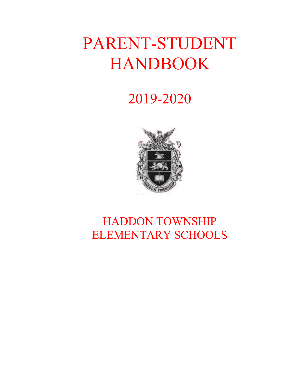# PARENT-STUDENT HANDBOOK

## 2019-2020



## HADDON TOWNSHIP ELEMENTARY SCHOOLS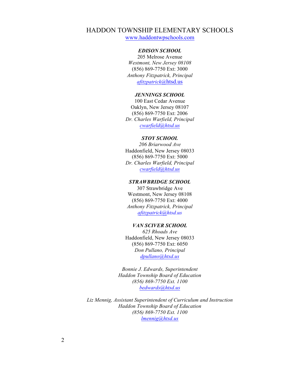#### HADDON TOWNSHIP ELEMENTARY SCHOOLS

www.haddontwpschools.com

#### *EDISON SCHOOL*

205 Melrose Avenue *Westmont, New Jersey 08108* (856) 869-7750 Ext: 3000 *Anthony Fitzpatrick, Principal afitzpatrick@*htsd.us

#### *JENNINGS SCHOOL*

100 East Cedar Avenue Oaklyn, New Jersey 08107 (856) 869-7750 Ext: 2006 *Dr. Charles Warfield, Principal cwarfield@htsd.us*

#### *STOY SCHOOL*

*206 Briarwood Ave* Haddonfield, New Jersey 08033 (856) 869-7750 Ext: 5000 *Dr. Charles Warfield, Principal cwarfield@htsd.us*

#### *STRAWBRIDGE SCHOOL*

307 Strawbridge Ave Westmont, New Jersey 08108 (856) 869-7750 Ext: 4000 *Anthony Fitzpatrick, Principal afitzpatrick@htsd.us* 

#### *VAN SCIVER SCHOOL*

*625 Rhoads Ave* Haddonfield, New Jersey 08033 (856) 869-7750 Ext: 6050 *Don Pullano, Principal dpullano@htsd.us*

*Bonnie J. Edwards, Superintendent Haddon Township Board of Education (856) 869-7750 Ext. 1100 bedwards@htsd.us*

*Liz Mennig, Assistant Superintendent of Curriculum and Instruction Haddon Township Board of Education (856) 869-7750 Ext. 1100 lmennig@htsd.us*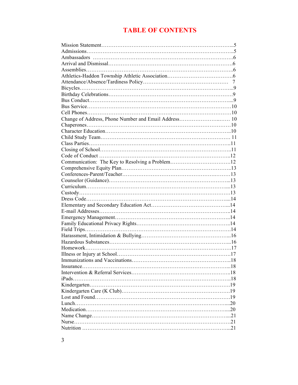### **TABLE OF CONTENTS**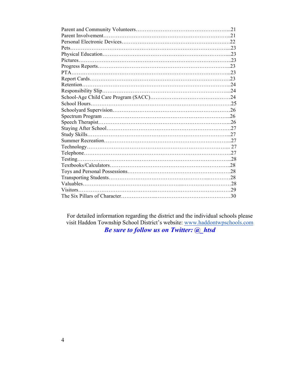For detailed information regarding the district and the individual schools please visit Haddon Township School District's website: www.haddontwpschools.com *Be sure to follow us on Twitter: @\_htsd*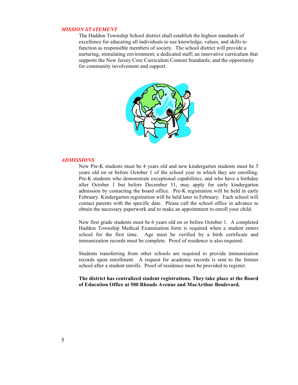#### *MISSION STATEMENT*

The Haddon Township School district shall establish the highest standards of excellence for educating all individuals to use knowledge, values, and skills to function as responsible members of society. The school district will provide a nurturing, stimulating environment; a dedicated staff; an innovative curriculum that supports the New Jersey Core Curriculum Content Standards; and the opportunity for community involvement and support.



#### *ADMISSIONS*

New Pre-K students must be 4 years old and new kindergarten students must be 5 years old on or before October 1 of the school year in which they are enrolling. Pre-K students who demonstrate exceptional capabilities, and who have a birthday after October 1 but before December 31, may apply for early kindergarten admission by contacting the board office. Pre-K registration will be held in early February. Kindergarten registration will be held later in February. Each school will contact parents with the specific date. Please call the school office in advance to obtain the necessary paperwork and to make an appointment to enroll your child.

New first grade students must be 6 years old on or before October 1. A completed Haddon Township Medical Examination form is required when a student enters school for the first time. Age must be verified by a birth certificate and immunization records must be complete. Proof of residence is also required.

Students transferring from other schools are required to provide immunization records upon enrollment. A request for academic records is sent to the former school after a student enrolls. Proof of residence must be provided to register.

**The district has centralized student registrations. They take place at the Board of Education Office at 500 Rhoads Avenue and MacArthur Boulevard.**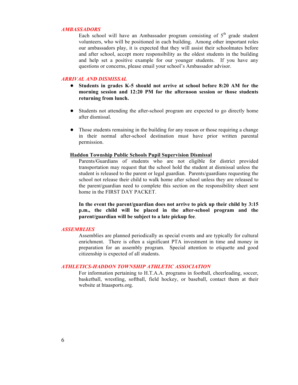#### *AMBASSADORS*

Each school will have an Ambassador program consisting of  $5<sup>th</sup>$  grade student volunteers, who will be positioned in each building. Among other important roles our ambassadors play, it is expected that they will assist their schoolmates before and after school, accept more responsibility as the oldest students in the building and help set a positive example for our younger students. If you have any questions or concerns, please email your school's Ambassador advisor.

#### *ARRIVAL AND DISMISSAL*

- **Students in grades K-5 should not arrive at school before 8:20 AM for the morning session and 12:20 PM for the afternoon session or those students returning from lunch.**
- Students not attending the after-school program are expected to go directly home after dismissal.
- Those students remaining in the building for any reason or those requiring a change in their normal after-school destination must have prior written parental permission.

#### **Haddon Township Public Schools Pupil Supervision Dismissal**

Parents/Guardians of students who are not eligible for district provided transportation may request that the school hold the student at dismissal unless the student is released to the parent or legal guardian. Parents/guardians requesting the school not release their child to walk home after school unless they are released to the parent/guardian need to complete this section on the responsibility sheet sent home in the FIRST DAY PACKET.

**In the event the parent/guardian does not arrive to pick up their child by 3:15 p.m., the child will be placed in the after-school program and the parent/guardian will be subject to a late pickup fee**.

#### *ASSEMBLIES*

Assemblies are planned periodically as special events and are typically for cultural enrichment. There is often a significant PTA investment in time and money in preparation for an assembly program. Special attention to etiquette and good citizenship is expected of all students.

#### *ATHLETICS-HADDON TOWNSHIP ATHLETIC ASSOCIATION*

For information pertaining to H.T.A.A. programs in football, cheerleading, soccer, basketball, wrestling, softball, field hockey, or baseball, contact them at their website at htaasports.org.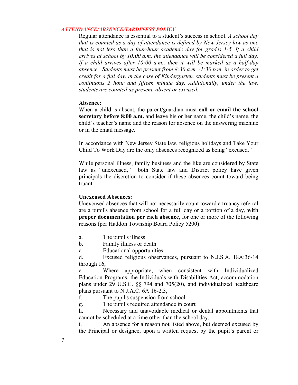#### *ATTENDANCE/ABSENCE/TARDINESS POLICY*

Regular attendance is essential to a student's success in school. *A school day that is counted as a day of attendance is defined by New Jersey law as one that is not less than a four-hour academic day for grades 1-5. If a child arrives at school by 10:00 a.m. the attendance will be considered a full day. If a child arrives after 10:00 a.m., then it will be marked as a half-day absence. Students must be present from 8:30 a.m. -1:30 p.m. in order to get credit for a full day. In the case of Kindergarten, students must be present a continuous 2 hour and fifteen minute day. Additionally, under the law, students are counted as present, absent or excused.*

#### **Absence:**

When a child is absent, the parent/guardian must **call or email the school secretary before 8:00 a.m.** and leave his or her name, the child's name, the child's teacher's name and the reason for absence on the answering machine or in the email message.

In accordance with New Jersey State law, religious holidays and Take Your Child To Work Day are the only absences recognized as being "excused."

While personal illness, family business and the like are considered by State law as "unexcused," both State law and District policy have given principals the discretion to consider if these absences count toward being truant.

#### **Unexcused Absences:**

Unexcused absences that will not necessarily count toward a truancy referral are a pupil's absence from school for a full day or a portion of a day, **with proper documentation per each absence**, for one or more of the following reasons (per Haddon Township Board Policy 5200):

- a. The pupil's illness
- b. Family illness or death

c. Educational opportunities

d. Excused religious observances, pursuant to N.J.S.A. 18A:36-14 through 16,

e. Where appropriate, when consistent with Individualized Education Programs, the Individuals with Disabilities Act, accommodation plans under 29 U.S.C. §§ 794 and 705(20), and individualized healthcare plans pursuant to N.J.A.C. 6A:16-2.3,

f. The pupil's suspension from school

g. The pupil's required attendance in court

h. Necessary and unavoidable medical or dental appointments that cannot be scheduled at a time other than the school day,

i. An absence for a reason not listed above, but deemed excused by the Principal or designee, upon a written request by the pupil's parent or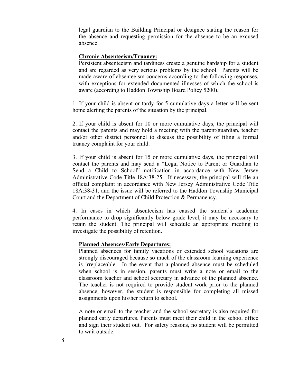legal guardian to the Building Principal or designee stating the reason for the absence and requesting permission for the absence to be an excused absence.

#### **Chronic Absenteeism/Truancy:**

Persistent absenteeism and tardiness create a genuine hardship for a student and are regarded as very serious problems by the school. Parents will be made aware of absenteeism concerns according to the following responses, with exceptions for extended documented illnesses of which the school is aware (according to Haddon Township Board Policy 5200).

1. If your child is absent or tardy for 5 cumulative days a letter will be sent home alerting the parents of the situation by the principal.

2. If your child is absent for 10 or more cumulative days, the principal will contact the parents and may hold a meeting with the parent/guardian, teacher and/or other district personnel to discuss the possibility of filing a formal truancy complaint for your child.

3. If your child is absent for 15 or more cumulative days, the principal will contact the parents and may send a "Legal Notice to Parent or Guardian to Send a Child to School" notification in accordance with New Jersey Administrative Code Title 18A:38-25. If necessary, the principal will file an official complaint in accordance with New Jersey Administrative Code Title 18A:38-31, and the issue will be referred to the Haddon Township Municipal Court and the Department of Child Protection & Permanency.

4. In cases in which absenteeism has caused the student's academic performance to drop significantly below grade level, it may be necessary to retain the student. The principal will schedule an appropriate meeting to investigate the possibility of retention.

#### **Planned Absences/Early Departures:**

Planned absences for family vacations or extended school vacations are strongly discouraged because so much of the classroom learning experience is irreplaceable. In the event that a planned absence must be scheduled when school is in session, parents must write a note or email to the classroom teacher and school secretary in advance of the planned absence. The teacher is not required to provide student work prior to the planned absence, however, the student is responsible for completing all missed assignments upon his/her return to school.

A note or email to the teacher and the school secretary is also required for planned early departures. Parents must meet their child in the school office and sign their student out. For safety reasons, no student will be permitted to wait outside.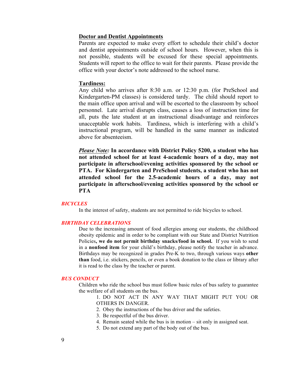#### **Doctor and Dentist Appointments**

Parents are expected to make every effort to schedule their child's doctor and dentist appointments outside of school hours. However, when this is not possible, students will be excused for these special appointments. Students will report to the office to wait for their parents. Please provide the office with your doctor's note addressed to the school nurse.

#### **Tardiness:**

Any child who arrives after 8:30 a.m. or 12:30 p.m. (for PreSchool and Kindergarten-PM classes) is considered tardy. The child should report to the main office upon arrival and will be escorted to the classroom by school personnel. Late arrival disrupts class, causes a loss of instruction time for all, puts the late student at an instructional disadvantage and reinforces unacceptable work habits. Tardiness, which is interfering with a child's instructional program, will be handled in the same manner as indicated above for absenteeism.

*Please Note:* **In accordance with District Policy 5200, a student who has not attended school for at least 4-academic hours of a day, may not participate in afterschool/evening activities sponsored by the school or PTA. For Kindergarten and PreSchool students, a student who has not attended school for the 2.5-academic hours of a day, may not participate in afterschool/evening activities sponsored by the school or PTA**

#### *BICYCLES*

In the interest of safety, students are not permitted to ride bicycles to school.

#### *BIRTHDAY CELEBRATIONS*

Due to the increasing amount of food allergies among our students, the childhood obesity epidemic and in order to be compliant with our State and District Nutrition Policies**, we do not permit birthday snacks/food in school.** If you wish to send in a **nonfood item** for your child's birthday, please notify the teacher in advance. Birthdays may be recognized in grades Pre-K to two, through various ways **other than** food, i.e. stickers, pencils, or even a book donation to the class or library after it is read to the class by the teacher or parent.

#### *BUS CONDUCT*

Children who ride the school bus must follow basic rules of bus safety to guarantee the welfare of all students on the bus.

1. DO NOT ACT IN ANY WAY THAT MIGHT PUT YOU OR OTHERS IN DANGER.

- 2. Obey the instructions of the bus driver and the safeties.
- 3. Be respectful of the bus driver.
- 4. Remain seated while the bus is in motion sit only in assigned seat.
- 5. Do not extend any part of the body out of the bus.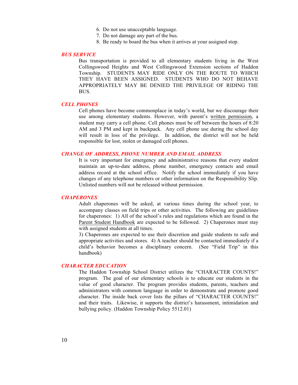- 6. Do not use unacceptable language.
- 7. Do not damage any part of the bus.
- 8. Be ready to board the bus when it arrives at your assigned stop.

#### *BUS SERVICE*

Bus transportation is provided to all elementary students living in the West Collingswood Heights and West Collingswood Extension sections of Haddon Township. STUDENTS MAY RIDE ONLY ON THE ROUTE TO WHICH THEY HAVE BEEN ASSIGNED. STUDENTS WHO DO NOT BEHAVE APPROPRIATELY MAY BE DENIED THE PRIVILEGE OF RIDING THE BUS.

#### *CELL PHONES*

Cell phones have become commonplace in today's world, but we discourage their use among elementary students. However, with parent's written permission, a student may carry a cell phone. Cell phones must be off between the hours of 8:20 AM and 3 PM and kept in backpack. Any cell phone use during the school day will result in loss of the privilege. In addition, the district will not be held responsible for lost, stolen or damaged cell phones.

#### *CHANGE OF ADDRESS, PHONE NUMBER AND EMAIL ADDRESS*

It is very important for emergency and administrative reasons that every student maintain an up-to-date address, phone number, emergency contacts and email address record at the school office. Notify the school immediately if you have changes of any telephone numbers or other information on the Responsibility Slip. Unlisted numbers will not be released without permission.

#### *CHAPERONES*

Adult chaperones will be asked, at various times during the school year, to accompany classes on field trips or other activities. The following are guidelines for chaperones: 1) All of the school's rules and regulations which are found in the Parent Student Handbook are expected to be followed. 2) Chaperones must stay with assigned students at all times.

3) Chaperones are expected to use their discretion and guide students to safe and appropriate activities and stores. 4) A teacher should be contacted immediately if a child's behavior becomes a disciplinary concern. (See "Field Trip" in this handbook)

#### *CHARACTER EDUCATION*

The Haddon Township School District utilizes the "CHARACTER COUNTS!" program. The goal of our elementary schools is to educate our students in the value of good character. The program provides students, parents, teachers and administrators with common language in order to demonstrate and promote good character. The inside back cover lists the pillars of "CHARACTER COUNTS!" and their traits. Likewise, it supports the district's harassment, intimidation and bullying policy. (Haddon Township Policy 5512.01)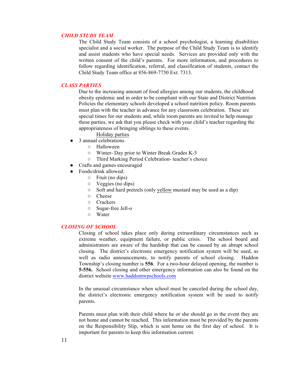#### *CHILD STUDY TEAM*

The Child Study Team consists of a school psychologist, a learning disabilities specialist and a social worker. The purpose of the Child Study Team is to identify and assist students who have special needs. Services are provided only with the written consent of the child's parents. For more information, and procedures to follow regarding identification, referral, and classification of students, contact the Child Study Team office at 856-869-7750 Ext. 7313.

#### *CLASS PARTIES*

Due to the increasing amount of food allergies among our students, the childhood obesity epidemic and in order to be compliant with our State and District Nutrition Policies the elementary schools developed a school nutrition policy. Room parents must plan with the teacher in advance for any classroom celebration. These are special times for our students and, while room parents are invited to help manage these parties, we ask that you please check with your child's teacher regarding the appropriateness of bringing siblings to these events.

- Holiday parties
- 3 annual celebrations
	- Halloween
	- Winter- Day prior to Winter Break Grades K-5
	- Third Marking Period Celebration- teacher's choice
- Crafts and games encouraged
- Foods/drink allowed:
	- Fruit (no dips)
	- Veggies (no dips)
	- Soft and hard pretzels (only yellow mustard may be used as a dip)
	- Cheese
	- Crackers
	- Sugar-free Jell-o
	- Water

#### *CLOSING OF SCHOOL*

Closing of school takes place only during extraordinary circumstances such as extreme weather, equipment failure, or public crisis. The school board and administrators are aware of the hardship that can be caused by an abrupt school closing. The district's electronic emergency notification system will be used, as well as radio announcements, to notify parents of school closing. Haddon Township's closing number is **556**. For a two-hour delayed opening, the number is **5-556.** School closing and other emergency information can also be found on the district website www.haddontwpschools.com

In the unusual circumstance when school must be canceled during the school day, the district's electronic emergency notification system will be used to notify parents.

Parents must plan with their child where he or she should go in the event they are not home and cannot be reached. This information must be provided by the parents on the Responsibility Slip, which is sent home on the first day of school. It is important for parents to keep this information current.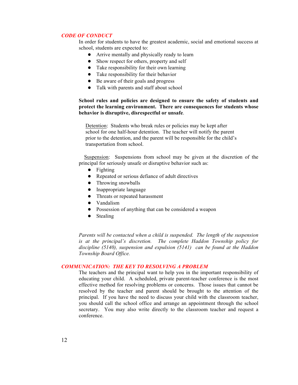#### *CODE OF CONDUCT*

In order for students to have the greatest academic, social and emotional success at school, students are expected to:

- Arrive mentally and physically ready to learn
- Show respect for others, property and self
- Take responsibility for their own learning
- Take responsibility for their behavior
- Be aware of their goals and progress
- Talk with parents and staff about school

#### **School rules and policies are designed to ensure the safety of students and protect the learning environment. There are consequences for students whose behavior is disruptive, disrespectful or unsafe**.

 Detention: Students who break rules or policies may be kept after school for one half-hour detention. The teacher will notify the parent prior to the detention, and the parent will be responsible for the child's transportation from school.

 Suspension: Suspensions from school may be given at the discretion of the principal for seriously unsafe or disruptive behavior such as:

- Fighting
- Repeated or serious defiance of adult directives
- Throwing snowballs
- Inappropriate language
- Threats or repeated harassment
- Vandalism
- Possession of anything that can be considered a weapon
- Stealing

*Parents will be contacted when a child is suspended. The length of the suspension is at the principal's discretion. The complete Haddon Township policy for discipline (5140), suspension and expulsion (5141) can be found at the Haddon Township Board Office.* 

#### *COMMUNICATION: THE KEY TO RESOLVING A PROBLEM*

The teachers and the principal want to help you in the important responsibility of educating your child. A scheduled, private parent-teacher conference is the most effective method for resolving problems or concerns. Those issues that cannot be resolved by the teacher and parent should be brought to the attention of the principal. If you have the need to discuss your child with the classroom teacher, you should call the school office and arrange an appointment through the school secretary. You may also write directly to the classroom teacher and request a conference.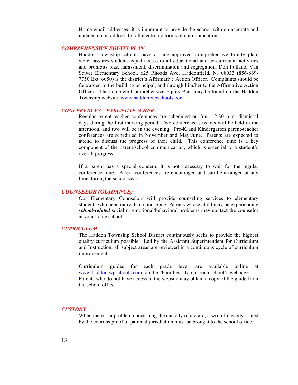Home email addresses- it is important to provide the school with an accurate and updated email address for all electronic forms of communication.

#### *COMPREHENSIVE EQUITY PLAN*

Haddon Township schools have a state approved Comprehensive Equity plan, which assures students equal access to all educational and co-curricular activities and prohibits bias, harassment, discrimination and segregation. Don Pullano, Van Sciver Elementary School, 625 Rhoads Ave, Haddonfield, NJ 08033 (856-869- 7750 Ext. 6050) is the district's Affirmative Action Officer. Complaints should be forwarded to the building principal, and through him/her to the Affirmative Action Officer. The complete Comprehensive Equity Plan may be found on the Haddon Township website, www.haddontwpschools.com

#### *CONFERENCES – PARENT/TEACHER*

Regular parent-teacher conferences are scheduled on four 12:30 p.m. dismissal days during the first marking period. Two conference sessions will be held in the afternoon, and two will be in the evening. Pre-K and Kindergarten parent-teacher conferences are scheduled in November and May/June. Parents are expected to attend to discuss the progress of their child. This conference time is a key component of the parent/school communication, which is essential to a student's overall progress.

If a parent has a special concern, it is not necessary to wait for the regular conference time. Parent conferences are encouraged and can be arranged at any time during the school year.

#### *COUNSELOR (GUIDANCE)*

Our Elementary Counselors will provide counseling services to elementary students who need individual counseling. Parents whose child may be experiencing *school-related* social or emotional/behavioral problems may contact the counselor at your home school.

#### *CURRICULUM*

The Haddon Township School District continuously seeks to provide the highest quality curriculum possible. Led by the Assistant Superintendent for Curriculum and Instruction, all subject areas are reviewed in a continuous cycle of curriculum improvement.

Curriculum guides for each grade level are available online at www.haddontwpschools.com on the "Families" Tab of each school's webpage. Parents who do not have access to the website may obtain a copy of the guide from the school office.

#### *CUSTODY*

When there is a problem concerning the custody of a child, a writ of custody issued by the court as proof of parental jurisdiction must be brought to the school office.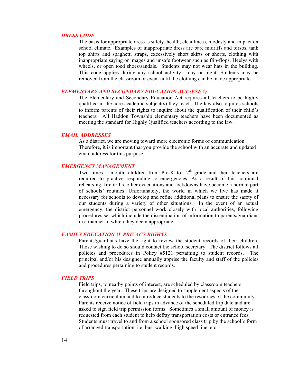#### *DRESS CODE*

The basis for appropriate dress is safety, health, cleanliness, modesty and impact on school climate. Examples of inappropriate dress are bare midriffs and torsos, tank top shirts and spaghetti straps, excessively short skirts or shorts, clothing with inappropriate saying or images and unsafe footwear such as flip-flops, Heelys with wheels, or open toed shoes/sandals. Students may not wear hats in the building. This code applies during any school activity - day or night. Students may be removed from the classroom or event until the clothing can be made appropriate.

#### *ELEMENTARY AND SECONDARY EDUCATION ACT (ESEA)*

The Elementary and Secondary Education Act requires all teachers to be highly qualified in the core academic subject(s) they teach. The law also requires schools to inform parents of their rights to inquire about the qualification of their child's teachers. All Haddon Township elementary teachers have been documented as meeting the standard for Highly Qualified teachers according to the law.

#### *EMAIL ADDRESSES*

As a district, we are moving toward more electronic forms of communication. Therefore, it is important that you provide the school with an accurate and updated email address for this purpose.

#### *EMERGENCY MANAGEMENT*

Two times a month, children from Pre-K to  $12<sup>th</sup>$  grade and their teachers are required to practice responding to emergencies. As a result of this continual rehearsing, fire drills, other evacuations and lockdowns have become a normal part of schools' routines. Unfortunately, the world in which we live has made it necessary for schools to develop and refine additional plans to ensure the safety of our students during a variety of other situations. In the event of an actual emergency, the district personnel work closely with local authorities, following procedures set which include the dissemination of information to parents/guardians in a manner in which they deem appropriate.

#### *FAMILY EDUCATIONAL PRIVACY RIGHTS*

Parents/guardians have the right to review the student records of their children. Those wishing to do so should contact the school secretary. The district follows all policies and procedures in Policy #5121 pertaining to student records. The principal and/or his designee annually apprise the faculty and staff of the policies and procedures pertaining to student records.

#### *FIELD TRIPS*

Field trips, to nearby points of interest, are scheduled by classroom teachers throughout the year. These trips are designed to supplement aspects of the classroom curriculum and to introduce students to the resources of the community. Parents receive notice of field trips in advance of the scheduled trip date and are asked to sign field trip permission forms. Sometimes a small amount of money is requested from each student to help defray transportation costs or entrance fees. Students must travel to and from a school sponsored class trip by the school's form of arranged transportation, i.e. bus, walking, high speed line, etc.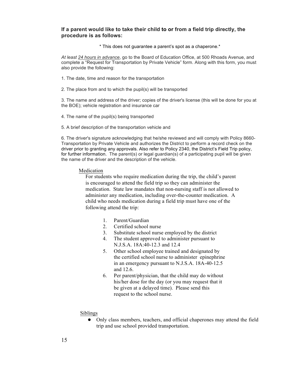#### **If a parent would like to take their child to or from a field trip directly, the procedure is as follows:**

\* This does not guarantee a parent's spot as a chaperone.\*

*At least 24 hours in advance*, go to the Board of Education Office, at 500 Rhoads Avenue, and complete a "Request for Transportation by Private Vehicle" form. Along with this form, you must also provide the following:

- 1. The date, time and reason for the transportation
- 2. The place from and to which the pupil(s) will be transported

3. The name and address of the driver; copies of the driver's license (this will be done for you at the BOE); vehicle registration and insurance car

- 4. The name of the pupil(s) being transported
- 5. A brief description of the transportation vehicle and

6. The driver's signature acknowledging that he/she reviewed and will comply with Policy 8660- Transportation by Private Vehicle and authorizes the District to perform a record check on the driver prior to granting any approvals. Also refer to Policy 2340, the District's Field Trip policy, for further information. The parent(s) or legal guardian(s) of a participating pupil will be given the name of the driver and the description of the vehicle.

#### Medication

 For students who require medication during the trip, the child's parent is encouraged to attend the field trip so they can administer the medication. State law mandates that non-nursing staff is not allowed to administer any medication, including over-the-counter medication. A child who needs medication during a field trip must have one of the following attend the trip:

- 1. Parent/Guardian
- 2. Certified school nurse
- 3. Substitute school nurse employed by the district
- 4. The student approved to administer pursuant to N.J.S.A. 18A:40-12.3 and 12.4
- 5. Other school employee trained and designated by the certified school nurse to administer epinephrine in an emergency pursuant to N.J.S.A. 18A-40-12.5 and 12.6.
- 6. Per parent/physician, that the child may do without his/her dose for the day (or you may request that it be given at a delayed time). Please send this request to the school nurse.

#### Siblings

• Only class members, teachers, and official chaperones may attend the field trip and use school provided transportation.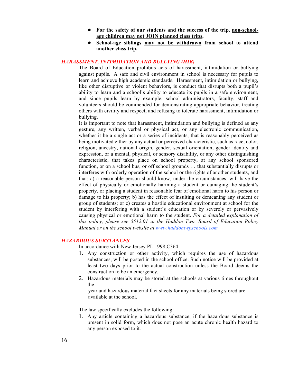- **For the safety of our students and the success of the trip, non-schoolage children may not JOIN planned class trips.**
- **School-age siblings may not be withdrawn from school to attend another class trip.**

#### *HARASSMENT, INTIMIDATION AND BULLYING (HIB)*

The Board of Education prohibits acts of harassment, intimidation or bullying against pupils. A safe and civil environment in school is necessary for pupils to learn and achieve high academic standards. Harassment, intimidation or bullying, like other disruptive or violent behaviors, is conduct that disrupts both a pupil's ability to learn and a school's ability to educate its pupils in a safe environment, and since pupils learn by example, school administrators, faculty, staff and volunteers should be commended for demonstrating appropriate behavior, treating others with civility and respect, and refusing to tolerate harassment, intimidation or bullying.

It is important to note that harassment, intimidation and bullying is defined as any gesture, any written, verbal or physical act, or any electronic communication, whether it be a single act or a series of incidents, that is reasonably perceived as being motivated either by any actual or perceived characteristic, such as race, color, religion, ancestry, national origin, gender, sexual orientation, gender identity and expression, or a mental, physical, or sensory disability, or any other distinguishing characteristic, that takes place on school property, at any school sponsored function, or on a school bus, or off school grounds … that substantially disrupts or interferes with orderly operation of the school or the rights of another students, and that: a) a reasonable person should know, under the circumstances, will have the effect of physically or emotionally harming a student or damaging the student's property, or placing a student in reasonable fear of emotional harm to his person or damage to his property; b) has the effect of insulting or demeaning any student or group of students; or c) creates a hostile educational environment at school for the student by interfering with a student's education or by severely or pervasively causing physical or emotional harm to the student. *For a detailed explanation of this policy, please see 5512.01 in the Haddon Twp. Board of Education Policy Manual or on the school website at www.haddontwpschools.com*

#### *HAZARDOUS SUBSTANCES*

In accordance with New Jersey PL 1998,C364:

- 1. Any construction or other activity, which requires the use of hazardous substances, will be posted in the school office. Such notice will be provided at least two days prior to the actual construction unless the Board deems the construction to be an emergency.
- 2. Hazardous materials may be stored at the schools at various times throughout the

 year and hazardous material fact sheets for any materials being stored are available at the school.

The law specifically excludes the following:

1. Any article containing a hazardous substance, if the hazardous substance is present in solid form, which does not pose an acute chronic health hazard to any person exposed to it.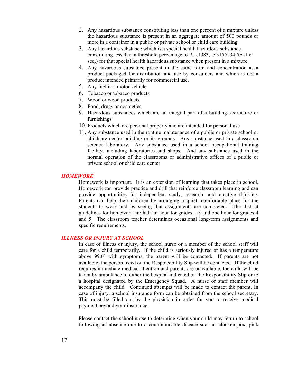- 2. Any hazardous substance constituting less than one percent of a mixture unless the hazardous substance is present in an aggregate amount of 500 pounds or more in a container in a public or private school or child care building.
- 3. Any hazardous substance which is a special health hazardous substance constituting less than a threshold percentage to P.L.1983, c.315(C34:5A-1 et seq.) for that special health hazardous substance when present in a mixture.
- 4. Any hazardous substance present in the same form and concentration as a product packaged for distribution and use by consumers and which is not a product intended primarily for commercial use.
- 5. Any fuel in a motor vehicle
- 6. Tobacco or tobacco products
- 7. Wood or wood products
- 8. Food, drugs or cosmetics
- 9. Hazardous substances which are an integral part of a building's structure or furnishings
- 10. Products which are personal property and are intended for personal use
- 11. Any substance used in the routine maintenance of a public or private school or childcare center building or its grounds. Any substance used in a classroom science laboratory. Any substance used in a school occupational training facility, including laboratories and shops. And any substance used in the normal operation of the classrooms or administrative offices of a public or private school or child care center

#### *HOMEWORK*

Homework is important. It is an extension of learning that takes place in school. Homework can provide practice and drill that reinforce classroom learning and can provide opportunities for independent study, research, and creative thinking. Parents can help their children by arranging a quiet, comfortable place for the students to work and by seeing that assignments are completed. The district guidelines for homework are half an hour for grades 1-3 and one hour for grades 4 and 5. The classroom teacher determines occasional long-term assignments and specific requirements.

#### *ILLNESS OR INJURY AT SCHOOL*

In case of illness or injury, the school nurse or a member of the school staff will care for a child temporarily. If the child is seriously injured or has a temperature above 99.6º with symptoms, the parent will be contacted. If parents are not available, the person listed on the Responsibility Slip will be contacted. If the child requires immediate medical attention and parents are unavailable, the child will be taken by ambulance to either the hospital indicated on the Responsibility Slip or to a hospital designated by the Emergency Squad. A nurse or staff member will accompany the child. Continued attempts will be made to contact the parent. In case of injury, a school insurance form can be obtained from the school secretary. This must be filled out by the physician in order for you to receive medical payment beyond your insurance.

Please contact the school nurse to determine when your child may return to school following an absence due to a communicable disease such as chicken pox, pink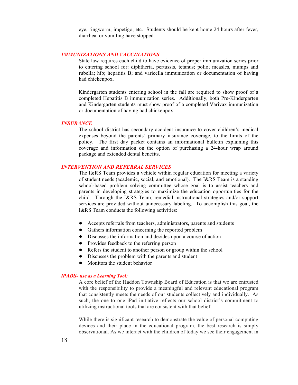eye, ringworm, impetigo, etc. Students should be kept home 24 hours after fever, diarrhea, or vomiting have stopped.

#### *IMMUNIZATIONS AND VACCINATIONS*

State law requires each child to have evidence of proper immunization series prior to entering school for: diphtheria, pertussis, tetanus; polio; measles, mumps and rubella; hib; hepatitis B; and varicella immunization or documentation of having had chickenpox.

Kindergarten students entering school in the fall are required to show proof of a completed Hepatitis B immunization series. Additionally, both Pre-Kindergarten and Kindergarten students must show proof of a completed Varivax immunization or documentation of having had chickenpox.

#### *INSURANCE*

The school district has secondary accident insurance to cover children's medical expenses beyond the parents' primary insurance coverage, to the limits of the policy. The first day packet contains an informational bulletin explaining this coverage and information on the option of purchasing a 24-hour wrap around package and extended dental benefits.

#### *INTERVENTION AND REFERRAL SERVICES*

The I&RS Team provides a vehicle within regular education for meeting a variety of student needs (academic, social, and emotional). The I&RS Team is a standing school-based problem solving committee whose goal is to assist teachers and parents in developing strategies to maximize the education opportunities for the child. Through the I&RS Team, remedial instructional strategies and/or support services are provided without unnecessary labeling. To accomplish this goal, the I&RS Team conducts the following activities:

- Accepts referrals from teachers, administrators, parents and students
- Gathers information concerning the reported problem
- Discusses the information and decides upon a course of action
- Provides feedback to the referring person
- Refers the student to another person or group within the school
- Discusses the problem with the parents and student
- Monitors the student behavior

#### *iPADS- use as a Learning Tool:*

A core belief of the Haddon Township Board of Education is that we are entrusted with the responsibility to provide a meaningful and relevant educational program that consistently meets the needs of our students collectively and individually. As such, the one to one iPad initiative reflects our school district's commitment to utilizing instructional tools that are consistent with that belief.

While there is significant research to demonstrate the value of personal computing devices and their place in the educational program, the best research is simply observational. As we interact with the children of today we see their engagement in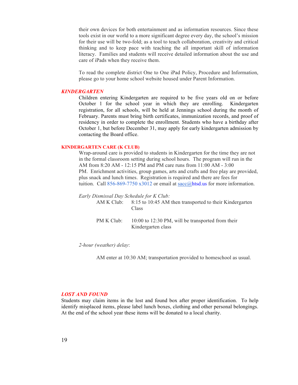their own devices for both entertainment and as information resources. Since these tools exist in our world to a more significant degree every day, the school's mission for their use will be two-fold; as a tool to teach collaboration, creativity and critical thinking and to keep pace with teaching the all important skill of information literacy. Families and students will receive detailed information about the use and care of iPads when they receive them.

To read the complete district One to One iPad Policy, Procedure and Information, please go to your home school website housed under Parent Information.

#### *KINDERGARTEN*

Children entering Kindergarten are required to be five years old on or before October 1 for the school year in which they are enrolling. Kindergarten registration, for all schools, will be held at Jennings school during the month of February. Parents must bring birth certificates, immunization records, and proof of residency in order to complete the enrollment. Students who have a birthday after October 1, but before December 31, may apply for early kindergarten admission by contacting the Board office.

#### **KINDERGARTEN CARE (K CLUB)**

Wrap-around care is provided to students in Kindergarten for the time they are not in the formal classroom setting during school hours. The program will run in the AM from 8:20 AM - 12:15 PM and PM care runs from 11:00 AM - 3:00 PM. Enrichment activities, group games, arts and crafts and free play are provided, plus snack and lunch times. Registration is required and there are fees for tuition. Call 856-869-7750 x3012 or email at sacc@htsd.us for more information.

*Early Dismissal Day Schedule for K Club:*

AM K Club: 8:15 to 10:45 AM then transported to their Kindergarten Class

PM K Club: 10:00 to 12:30 PM, will be transported from their Kindergarten class

*2-hour (weather) delay*:

AM enter at 10:30 AM; transportation provided to homeschool as usual.

#### *LOST AND FOUND*

Students may claim items in the lost and found box after proper identification. To help identify misplaced items, please label lunch boxes, clothing and other personal belongings. At the end of the school year these items will be donated to a local charity.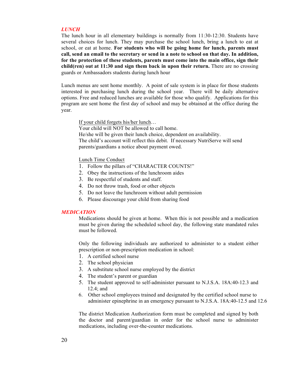#### *LUNCH*

The lunch hour in all elementary buildings is normally from 11:30-12:30. Students have several choices for lunch. They may purchase the school lunch, bring a lunch to eat at school, or eat at home. **For students who will be going home for lunch, parents must call, send an email to the secretary or send in a note to school on that day. In addition, for the protection of these students, parents must come into the main office, sign their child(ren) out at 11:30 and sign them back in upon their return.** There are no crossing guards or Ambassadors students during lunch hour

Lunch menus are sent home monthly. A point of sale system is in place for those students interested in purchasing lunch during the school year. There will be daily alternative options. Free and reduced lunches are available for those who qualify. Applications for this program are sent home the first day of school and may be obtained at the office during the year.

If your child forgets his/her lunch… Your child will NOT be allowed to call home. He/she will be given their lunch choice, dependent on availability. The child's account will reflect this debit. If necessary NutriServe will send parents/guardians a notice about payment owed.

#### Lunch Time Conduct

- 1. Follow the pillars of "CHARACTER COUNTS!"
- 2. Obey the instructions of the lunchroom aides
- 3. Be respectful of students and staff.
- 4. Do not throw trash, food or other objects
- 5. Do not leave the lunchroom without adult permission
- 6. Please discourage your child from sharing food

#### *MEDICATION*

Medications should be given at home. When this is not possible and a medication must be given during the scheduled school day, the following state mandated rules must be followed.

Only the following individuals are authorized to administer to a student either prescription or non-prescription medication in school:

- 1. A certified school nurse
- 2. The school physician
- 3. A substitute school nurse employed by the district
- 4. The student's parent or guardian
- 5. The student approved to self-administer pursuant to N.J.S.A. 18A:40-12.3 and 12.4; and
- 6. Other school employees trained and designated by the certified school nurse to administer epinephrine in an emergency pursuant to N.J.S.A. 18A:40-12.5 and 12.6

The district Medication Authorization form must be completed and signed by both the doctor and parent/guardian in order for the school nurse to administer medications, including over-the-counter medications.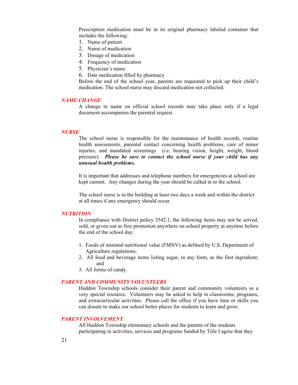Prescription medication must be in its original pharmacy labeled container that includes the following:

- 1. Name of patient
- 2. Name of medication
- 3. Dosage of medication
- 4. Frequency of medication
- 5. Physician's name
- 6. Date medication filled by pharmacy

Before the end of the school year, parents are requested to pick up their child's medication. The school nurse may discard medication not collected.

#### *NAME CHANGE*

A change in name on official school records may take place only if a legal document accompanies the parental request.

#### *NURSE*

The school nurse is responsible for the maintenance of health records, routine health assessments, parental contact concerning health problems, care of minor injuries, and mandated screenings (i.e. hearing vision, height, weight, blood pressure). *Please be sure to contact the school nurse if your child has any unusual health problems.*

It is important that addresses and telephone numbers for emergencies at school are kept current. Any changes during the year should be called in to the school.

The school nurse is in the building at least two days a week and within the district at all times if any emergency should occur.

#### *NUTRITION*

In compliance with District policy 3542.1, the following items may not be served, sold, or given out as free promotion anywhere on school property at anytime before the end of the school day:

- 1. Foods of minimal nutritional value (FMNV) as defined by U.S. Department of Agriculture regulations;
- 2. All food and beverage items listing sugar, in any form, as the first ingredient; and
- 3. All forms of candy.

#### *PARENT AND COMMUNITY VOLUNTEERS*

Haddon Township schools consider their parent and community volunteers as a very special resource. Volunteers may be asked to help in classrooms, programs, and extracurricular activities. Please call the office if you have time or skills you can donate to make our school better places for students to learn and grow.

#### *PARENT INVOLVEMENT*

All Haddon Township elementary schools and the parents of the students participating in activities, services and programs funded by Title I agree that they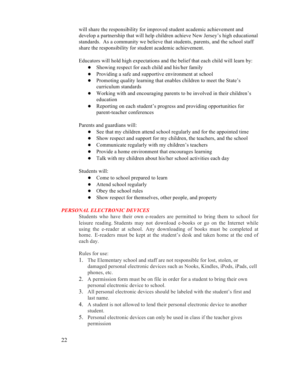will share the responsibility for improved student academic achievement and develop a partnership that will help children achieve New Jersey's high educational standards. As a community we believe that students, parents, and the school staff share the responsibility for student academic achievement.

Educators will hold high expectations and the belief that each child will learn by:

- Showing respect for each child and his/her family
- Providing a safe and supportive environment at school
- Promoting quality learning that enables children to meet the State's curriculum standards
- Working with and encouraging parents to be involved in their children's education
- Reporting on each student's progress and providing opportunities for parent-teacher conferences

Parents and guardians will:

- See that my children attend school regularly and for the appointed time
- Show respect and support for my children, the teachers, and the school
- Communicate regularly with my children's teachers
- Provide a home environment that encourages learning
- Talk with my children about his/her school activities each day

Students will:

- Come to school prepared to learn
- Attend school regularly
- Obey the school rules
- Show respect for themselves, other people, and property

#### *PERSONAL ELECTRONIC DEVICES*

Students who have their own e-readers are permitted to bring them to school for leisure reading. Students may not download e-books or go on the Internet while using the e-reader at school. Any downloading of books must be completed at home. E-readers must be kept at the student's desk and taken home at the end of each day.

Rules for use:

- 1. The Elementary school and staff are not responsible for lost, stolen, or damaged personal electronic devices such as Nooks, Kindles, iPods, iPads, cell phones, etc.
- 2. A permission form must be on file in order for a student to bring their own personal electronic device to school.
- 3. All personal electronic devices should be labeled with the student's first and last name.
- 4. A student is not allowed to lend their personal electronic device to another student.
- 5. Personal electronic devices can only be used in class if the teacher gives permission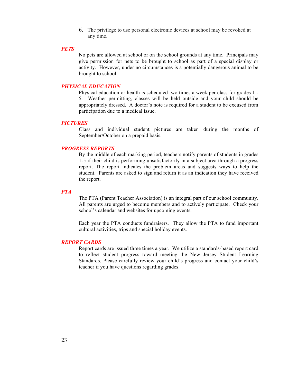6. The privilege to use personal electronic devices at school may be revoked at any time.

#### *PETS*

No pets are allowed at school or on the school grounds at any time. Principals may give permission for pets to be brought to school as part of a special display or activity. However, under no circumstances is a potentially dangerous animal to be brought to school.

#### *PHYSICAL EDUCATION*

Physical education or health is scheduled two times a week per class for grades 1 - 5. Weather permitting, classes will be held outside and your child should be appropriately dressed. A doctor's note is required for a student to be excused from participation due to a medical issue.

#### *PICTURES*

Class and individual student pictures are taken during the months of September/October on a prepaid basis.

#### *PROGRESS REPORTS*

By the middle of each marking period, teachers notify parents of students in grades 1-5 if their child is performing unsatisfactorily in a subject area through a progress report. The report indicates the problem areas and suggests ways to help the student. Parents are asked to sign and return it as an indication they have received the report.

#### *PTA*

The PTA (Parent Teacher Association) is an integral part of our school community. All parents are urged to become members and to actively participate. Check your school's calendar and websites for upcoming events.

Each year the PTA conducts fundraisers. They allow the PTA to fund important cultural activities, trips and special holiday events.

#### *REPORT CARDS*

Report cards are issued three times a year. We utilize a standards-based report card to reflect student progress toward meeting the New Jersey Student Learning Standards. Please carefully review your child's progress and contact your child's teacher if you have questions regarding grades.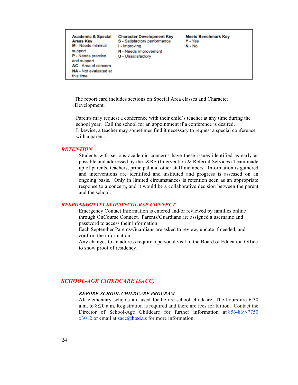

 The report card includes sections on Special Area classes and Character Development.

 Parents may request a conference with their child's teacher at any time during the school year. Call the school for an appointment if a conference is desired. Likewise, a teacher may sometimes find it necessary to request a special conference with a parent.

#### *RETENTION*

Students with serious academic concerns have these issues identified as early as possible and addressed by the I&RS (Intervention & Referral Services) Team made up of parents, teachers, principal and other staff members. Information is gathered and interventions are identified and instituted and progress is assessed on an ongoing basis. Only in limited circumstances is retention seen as an appropriate response to a concern, and it would be a collaborative decision between the parent and the school.

#### *RESPONSIBILITY SLIP/ONCOURSE CONNECT*

Emergency Contact Information is entered and/or reviewed by families online through OnCourse Connect. Parents/Guardians are assigned a username and password to access their information.

Each September Parents/Guardians are asked to review, update if needed, and confirm the information.

Any changes to an address require a personal visit to the Board of Education Office to show proof of residency.

#### *SCHOOL-AGE CHILDCARE (SACC)*

#### *BEFORE-SCHOOL CHILDCARE PROGRAM*

All elementary schools are used for before-school childcare. The hours are 6:30 a.m. to 8:20 a.m. Registration is required and there are fees for tuition. Contact the Director of School-Age Childcare for further information at 856-869-7750 x3012 or email at sacc@htsd.us for more information.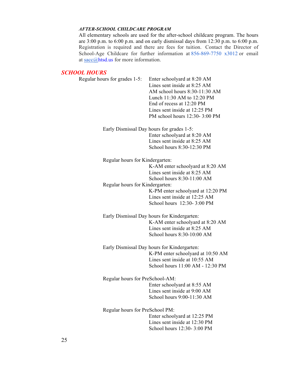#### *AFTER-SCHOOL CHILDCARE PROGRAM*

All elementary schools are used for the after-school childcare program. The hours are  $3:00$  p.m. to  $6:00$  p.m. and on early dismissal days from  $12:30$  p.m. to  $6:00$  p.m. Registration is required and there are fees for tuition. Contact the Director of School-Age Childcare for further information at 856-869-7750 x3012 or email at sacc@htsd.us for more information.

#### *SCHOOL HOURS*

| Regular hours for grades 1-5:   | Enter schoolyard at 8:20 AM<br>Lines sent inside at 8:25 AM<br>AM school hours 8:30-11:30 AM<br>Lunch 11:30 AM to 12:20 PM<br>End of recess at 12:20 PM<br>Lines sent inside at 12:25 PM<br>PM school hours 12:30-3:00 PM |
|---------------------------------|---------------------------------------------------------------------------------------------------------------------------------------------------------------------------------------------------------------------------|
|                                 | Early Dismissal Day hours for grades 1-5:<br>Enter schoolyard at 8:20 AM<br>Lines sent inside at 8:25 AM<br>School hours 8:30-12:30 PM                                                                                    |
| Regular hours for Kindergarten: |                                                                                                                                                                                                                           |
|                                 | K-AM enter schoolyard at 8:20 AM<br>Lines sent inside at 8:25 AM<br>School hours 8:30-11:00 AM                                                                                                                            |
| Regular hours for Kindergarten: |                                                                                                                                                                                                                           |
|                                 | K-PM enter schoolyard at 12:20 PM<br>Lines sent inside at 12:25 AM<br>School hours 12:30-3:00 PM                                                                                                                          |
|                                 | Early Dismissal Day hours for Kindergarten:                                                                                                                                                                               |
|                                 | K-AM enter schoolyard at 8:20 AM<br>Lines sent inside at 8:25 AM<br>School hours 8:30-10:00 AM                                                                                                                            |
|                                 | Early Dismissal Day hours for Kindergarten:                                                                                                                                                                               |
|                                 | K-PM enter schoolyard at 10:50 AM<br>Lines sent inside at 10:55 AM<br>School hours 11:00 AM - 12:30 PM                                                                                                                    |
| Regular hours for PreSchool-AM: |                                                                                                                                                                                                                           |
|                                 | Enter schoolyard at 8:55 AM                                                                                                                                                                                               |
|                                 | Lines sent inside at 9:00 AM<br>School hours 9:00-11:30 AM                                                                                                                                                                |
| Regular hours for PreSchool PM: |                                                                                                                                                                                                                           |
|                                 | Enter schoolyard at 12:25 PM                                                                                                                                                                                              |
|                                 | Lines sent inside at 12:30 PM                                                                                                                                                                                             |
|                                 | School hours 12:30-3:00 PM                                                                                                                                                                                                |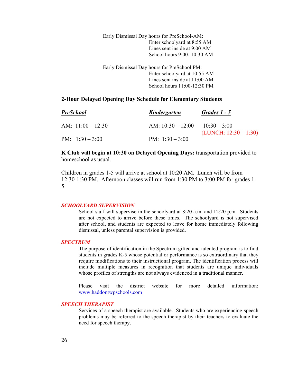Early Dismissal Day hours for PreSchool-AM: Enter schoolyard at 8:55 AM Lines sent inside at 9:00 AM School hours 9:00- 10:30 AM

Early Dismissal Day hours for PreSchool PM: Enter schoolyard at 10:55 AM Lines sent inside at 11:00 AM School hours 11:00-12:30 PM

#### **2-Hour Delayed Opening Day Schedule for Elementary Students**

| <b>PreSchool</b>    | Kindergarten                       | Grades $1 - 5$          |
|---------------------|------------------------------------|-------------------------|
| AM: $11:00 - 12:30$ | AM: $10:30 - 12:00$ $10:30 - 3:00$ | $(LUNCH: 12:30 - 1:30)$ |
| PM: $1:30-3:00$     | PM: $1:30-3:00$                    |                         |

#### **K Club will begin at 10:30 on Delayed Opening Days:** transportation provided to homeschool as usual.

Children in grades 1-5 will arrive at school at 10:20 AM. Lunch will be from 12:30-1:30 PM. Afternoon classes will run from 1:30 PM to 3:00 PM for grades 1- 5.

#### *SCHOOLYARD SUPERVISION*

School staff will supervise in the schoolyard at 8:20 a.m. and 12:20 p.m. Students are not expected to arrive before these times. The schoolyard is not supervised after school, and students are expected to leave for home immediately following dismissal, unless parental supervision is provided.

#### *SPECTRUM*

The purpose of identification in the Spectrum gifted and talented program is to find students in grades K-5 whose potential or performance is so extraordinary that they require modifications to their instructional program. The identification process will include multiple measures in recognition that students are unique individuals whose profiles of strengths are not always evidenced in a traditional manner.

Please visit the district website for more detailed information: www.haddontwpschools.com

#### *SPEECH THERAPIST*

Services of a speech therapist are available. Students who are experiencing speech problems may be referred to the speech therapist by their teachers to evaluate the need for speech therapy.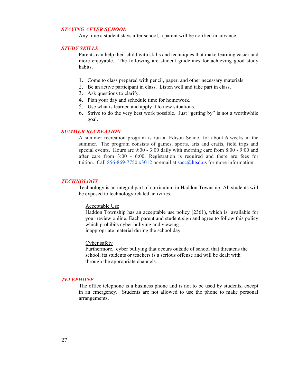#### *STAYING AFTER SCHOOL*

Any time a student stays after school, a parent will be notified in advance.

#### *STUDY SKILLS*

Parents can help their child with skills and techniques that make learning easier and more enjoyable. The following are student guidelines for achieving good study habits.

- 1. Come to class prepared with pencil, paper, and other necessary materials.
- 2. Be an active participant in class. Listen well and take part in class.
- 3. Ask questions to clarify.
- 4. Plan your day and schedule time for homework.
- 5. Use what is learned and apply it to new situations.
- 6. Strive to do the very best work possible. Just "getting by" is not a worthwhile goal.

#### *SUMMER RECREATION*

A summer recreation program is run at Edison School for about 6 weeks in the summer. The program consists of games, sports, arts and crafts, field trips and special events. Hours are 9:00 - 3:00 daily with morning care from 8:00 - 9:00 and after care from 3:00 - 6:00. Registration is required and there are fees for tuition. Call 856-869-7750 x3012 or email at sacc@htsd.us for more information.

#### *TECHNOLOGY*

Technology is an integral part of curriculum in Haddon Township. All students will be exposed to technology related activities.

#### Acceptable Use

Haddon Township has an acceptable use policy (2361), which is available for your review online. Each parent and student sign and agree to follow this policy which prohibits cyber bullying and viewing inappropriate material during the school day.

#### Cyber safety

Furthermore, cyber bullying that occurs outside of school that threatens the school, its students or teachers is a serious offense and will be dealt with through the appropriate channels.

#### *TELEPHONE*

The office telephone is a business phone and is not to be used by students, except in an emergency. Students are not allowed to use the phone to make personal arrangements.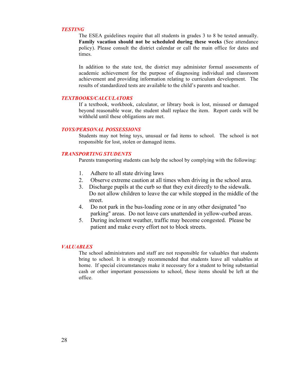#### *TESTING*

The ESEA guidelines require that all students in grades 3 to 8 be tested annually. **Family vacation should not be scheduled during these weeks** (See attendance policy). Please consult the district calendar or call the main office for dates and times.

In addition to the state test, the district may administer formal assessments of academic achievement for the purpose of diagnosing individual and classroom achievement and providing information relating to curriculum development. The results of standardized tests are available to the child's parents and teacher.

#### *TEXTBOOKS/CALCULATORS*

If a textbook, workbook, calculator, or library book is lost, misused or damaged beyond reasonable wear, the student shall replace the item. Report cards will be withheld until these obligations are met.

#### *TOYS/PERSONAL POSSESSIONS*

Students may not bring toys, unusual or fad items to school. The school is not responsible for lost, stolen or damaged items.

#### *TRANSPORTING STUDENTS*

Parents transporting students can help the school by complying with the following:

- 1. Adhere to all state driving laws
- 2. Observe extreme caution at all times when driving in the school area.
- 3. Discharge pupils at the curb so that they exit directly to the sidewalk. Do not allow children to leave the car while stopped in the middle of the street.
- 4. Do not park in the bus-loading zone or in any other designated "no parking" areas. Do not leave cars unattended in yellow-curbed areas.
- 5. During inclement weather, traffic may become congested. Please be patient and make every effort not to block streets.

#### *VALUABLES*

The school administrators and staff are not responsible for valuables that students bring to school. It is strongly recommended that students leave all valuables at home. If special circumstances make it necessary for a student to bring substantial cash or other important possessions to school, these items should be left at the office.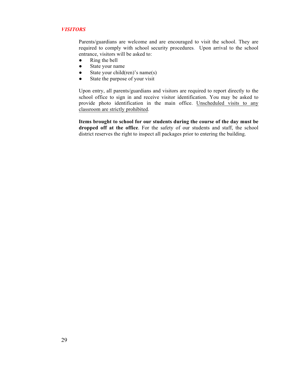#### *VISITORS*

Parents/guardians are welcome and are encouraged to visit the school. They are required to comply with school security procedures. Upon arrival to the school entrance, visitors will be asked to:

- Ring the bell
- State your name
- $\bullet$  State your child(ren)'s name(s)
- State the purpose of your visit

Upon entry, all parents/guardians and visitors are required to report directly to the school office to sign in and receive visitor identification. You may be asked to provide photo identification in the main office. Unscheduled visits to any classroom are strictly prohibited.

**Items brought to school for our students during the course of the day must be dropped off at the office**. For the safety of our students and staff, the school district reserves the right to inspect all packages prior to entering the building.